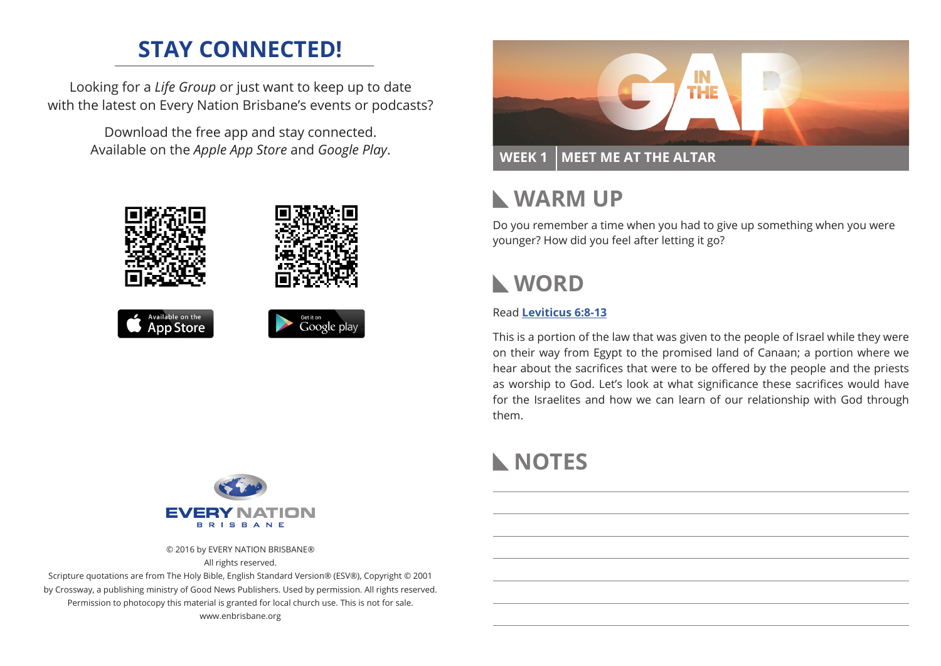# **STAY CONNECTED!**

Looking for a *Life Group* or just want to keep up to date with the latest on Every Nation Brisbane's events or podcasts?

> Download the free app and stay connected. Available on the *Apple App Store* and *Google Play*.





© 2016 by EVERY NATION BRISBANE® All rights reserved.

Scripture quotations are from The Holy Bible, English Standard Version® (ESV®), Copyright © 2001 by Crossway, a publishing ministry of Good News Publishers. Used by permission. All rights reserved. Permission to photocopy this material is granted for local church use. This is not for sale. www.enbrisbane.org



# **WARM UP**

Do you remember a time when you had to give up something when you were younger? How did you feel after letting it go?

# **WORD**

### Read **Leviticus 6:8-13**

This is a portion of the law that was given to the people of Israel while they were on their way from Egypt to the promised land of Canaan; a portion where we hear about the sacrifices that were to be offered by the people and the priests as worship to God. Let's look at what significance these sacrifices would have for the Israelites and how we can learn of our relationship with God through them.

# **NOTES**